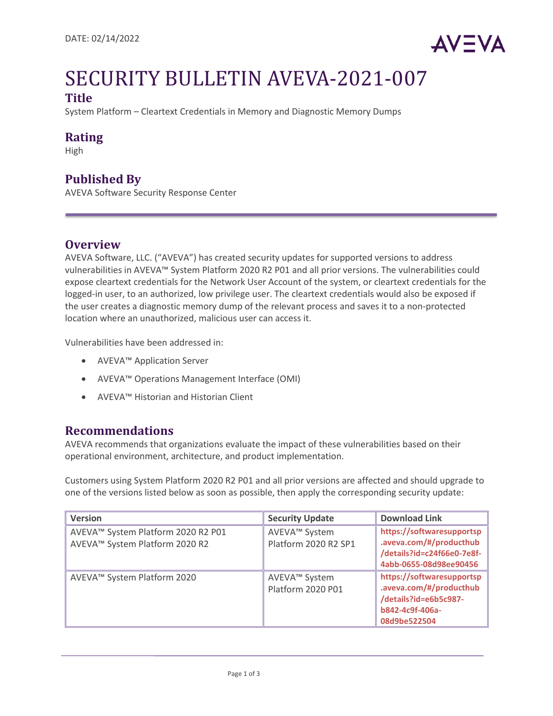

# SECURITY BULLETIN AVEVA-2021-007 **Title**

System Platform – Cleartext Credentials in Memory and Diagnostic Memory Dumps

### **Rating**

High

### **Published By**

AVEVA Software Security Response Center

### **Overview**

AVEVA Software, LLC. ("AVEVA") has created security updates for supported versions to address vulnerabilities in AVEVA™ System Platform 2020 R2 P01 and all prior versions. The vulnerabilities could expose cleartext credentials for the Network User Account of the system, or cleartext credentials for the logged-in user, to an authorized, low privilege user. The cleartext credentials would also be exposed if the user creates a diagnostic memory dump of the relevant process and saves it to a non-protected location where an unauthorized, malicious user can access it.

Vulnerabilities have been addressed in:

- AVEVA™ Application Server
- AVEVA™ Operations Management Interface (OMI)
- AVEVA™ Historian and Historian Client

### **Recommendations**

AVEVA recommends that organizations evaluate the impact of these vulnerabilities based on their operational environment, architecture, and product implementation.

Customers using System Platform 2020 R2 P01 and all prior versions are affected and should upgrade to one of the versions listed below as soon as possible, then apply the corresponding security update:

| <b>Version</b>                                                         | <b>Security Update</b>                    | <b>Download Link</b>                                                                                             |
|------------------------------------------------------------------------|-------------------------------------------|------------------------------------------------------------------------------------------------------------------|
| ∥ AVEVA™ System Platform 2020 R2 P01<br>AVEVA™ System Platform 2020 R2 | AVEVA™ System<br>Platform 2020 R2 SP1     | https://softwaresupportsp<br>.aveva.com/#/producthub<br>/details?id=c24f66e0-7e8f-<br>4abb-0655-08d98ee90456     |
| ∥ AVEVA™ System Platform 2020                                          | AVEVA™ System<br><b>Platform 2020 P01</b> | https://softwaresupportsp<br>.aveva.com/#/producthub<br>/details?id=e6b5c987-<br>b842-4c9f-406a-<br>08d9be522504 |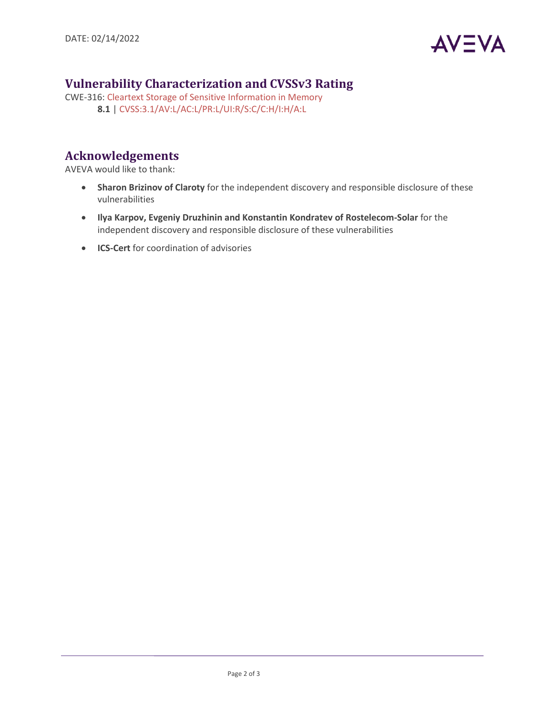

# **Vulnerability Characterization and CVSSv3 Rating**

CWE-316[: Cleartext Storage of Sensitive Information in Memory](https://cwe.mitre.org/data/definitions/316.html) **8.1** | [CVSS:3.1/AV:L/AC:L/PR:L/UI:R/S:C/C:H/I:H/A:L](https://www.first.org/cvss/calculator/3.1#CVSS:3.1/AV:L/AC:L/PR:L/UI:R/S:C/C:H/I:H/A:L)

# **Acknowledgements**

AVEVA would like to thank:

- **Sharon Brizinov of Claroty** for the independent discovery and responsible disclosure of these vulnerabilities
- **Ilya Karpov, Evgeniy Druzhinin and Konstantin Kondratev of Rostelecom-Solar** for the independent discovery and responsible disclosure of these vulnerabilities
- **ICS-Cert** for coordination of advisories